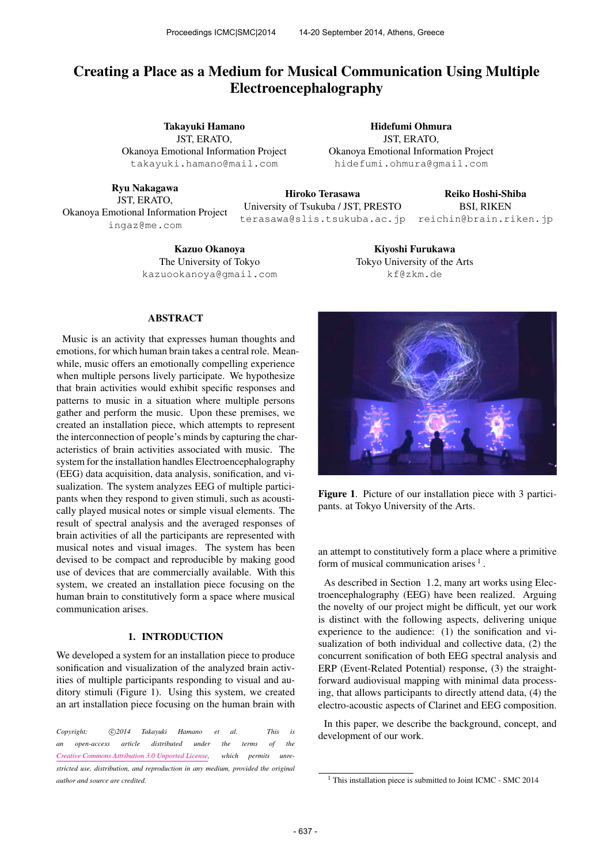# Creating a Place as a Medium for Musical Communication Using Multiple Electroencephalography

Takayuki Hamano JST, ERATO, Okanoya Emotional Information Project [takayuki.hamano@mail.com](mailto:takayuki.hamano@mail.com)

Ryu Nakagawa JST, ERATO, Okanoya Emotional Information Project [ingaz@me.com](mailto:ingaz@me.com)

Hidefumi Ohmura JST, ERATO, Okanoya Emotional Information Project [hidefumi.ohmura@gmail.com](mailto:hidefumi.ohmura@gmail.com)

> Kiyoshi Furukawa Tokyo University of the Arts [kf@zkm.de](mailto:kf@zkm.de)

Hiroko Terasawa University of Tsukuba / JST, PRESTO [terasawa@slis.tsukuba.ac.jp](mailto:terasawa@slis.tsukuba.ac.jp)

Reiko Hoshi-Shiba BSI, RIKEN [reichin@brain.riken.jp](mailto:reichin@brain.riken.jp)

Kazuo Okanoya The University of Tokyo [kazuookanoya@gmail.com](mailto:kazuookanoya@gmail.com)

# ABSTRACT

Music is an activity that expresses human thoughts and emotions, for which human brain takes a central role. Meanwhile, music offers an emotionally compelling experience when multiple persons lively participate. We hypothesize that brain activities would exhibit specific responses and patterns to music in a situation where multiple persons gather and perform the music. Upon these premises, we created an installation piece, which attempts to represent the interconnection of people's minds by capturing the characteristics of brain activities associated with music. The system for the installation handles Electroencephalography (EEG) data acquisition, data analysis, sonification, and visualization. The system analyzes EEG of multiple participants when they respond to given stimuli, such as acoustically played musical notes or simple visual elements. The result of spectral analysis and the averaged responses of brain activities of all the participants are represented with musical notes and visual images. The system has been devised to be compact and reproducible by making good use of devices that are commercially available. With this system, we created an installation piece focusing on the human brain to constitutively form a space where musical communication arises.

## 1. INTRODUCTION

We developed a system for an installation piece to produce sonification and visualization of the analyzed brain activities of multiple participants responding to visual and auditory stimuli (Figure 1). Using this system, we created an art installation piece focusing on the human brain with

Copyright:  $\bigcirc$ 2014 Takayuki Hamano et al. This is *an open-access article distributed under the terms of the [Creative Commons Attribution 3.0 Unported License,](http://creativecommons.org/licenses/by/3.0/) which permits unrestricted use, distribution, and reproduction in any medium, provided the original author and source are credited.*



Figure 1. Picture of our installation piece with 3 participants. at Tokyo University of the Arts.

an attempt to constitutively form a place where a primitive form of musical communication arises  $<sup>1</sup>$ .</sup>

As described in Section 1.2, many art works using Electroencephalography (EEG) have been realized. Arguing the novelty of our project might be difficult, yet our work is distinct with the following aspects, delivering unique experience to the audience: (1) the sonification and visualization of both individual and collective data, (2) the concurrent sonification of both EEG spectral analysis and ERP (Event-Related Potential) response, (3) the straightforward audiovisual mapping with minimal data processing, that allows participants to directly attend data, (4) the electro-acoustic aspects of Clarinet and EEG composition.

In this paper, we describe the background, concept, and development of our work.

<sup>&</sup>lt;sup>1</sup> This installation piece is submitted to Joint ICMC - SMC 2014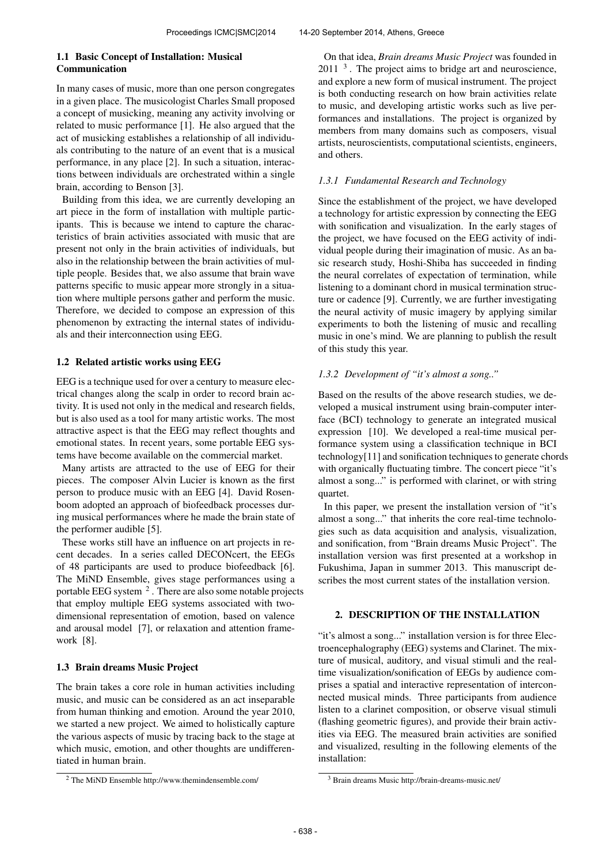## 1.1 Basic Concept of Installation: Musical Communication

In many cases of music, more than one person congregates in a given place. The musicologist Charles Small proposed a concept of musicking, meaning any activity involving or related to music performance [1]. He also argued that the act of musicking establishes a relationship of all individuals contributing to the nature of an event that is a musical performance, in any place [2]. In such a situation, interactions between individuals are orchestrated within a single brain, according to Benson [3].

Building from this idea, we are currently developing an art piece in the form of installation with multiple participants. This is because we intend to capture the characteristics of brain activities associated with music that are present not only in the brain activities of individuals, but also in the relationship between the brain activities of multiple people. Besides that, we also assume that brain wave patterns specific to music appear more strongly in a situation where multiple persons gather and perform the music. Therefore, we decided to compose an expression of this phenomenon by extracting the internal states of individuals and their interconnection using EEG.

#### 1.2 Related artistic works using EEG

EEG is a technique used for over a century to measure electrical changes along the scalp in order to record brain activity. It is used not only in the medical and research fields, but is also used as a tool for many artistic works. The most attractive aspect is that the EEG may reflect thoughts and emotional states. In recent years, some portable EEG systems have become available on the commercial market.

Many artists are attracted to the use of EEG for their pieces. The composer Alvin Lucier is known as the first person to produce music with an EEG [4]. David Rosenboom adopted an approach of biofeedback processes during musical performances where he made the brain state of the performer audible [5].

These works still have an influence on art projects in recent decades. In a series called DECONcert, the EEGs of 48 participants are used to produce biofeedback [6]. The MiND Ensemble, gives stage performances using a portable EEG system  $^2$  . There are also some notable projects that employ multiple EEG systems associated with twodimensional representation of emotion, based on valence and arousal model [7], or relaxation and attention framework [8].

#### 1.3 Brain dreams Music Project

The brain takes a core role in human activities including music, and music can be considered as an act inseparable from human thinking and emotion. Around the year 2010, we started a new project. We aimed to holistically capture the various aspects of music by tracing back to the stage at which music, emotion, and other thoughts are undifferentiated in human brain.

On that idea, *Brain dreams Music Project* was founded in  $2011<sup>3</sup>$ . The project aims to bridge art and neuroscience, and explore a new form of musical instrument. The project is both conducting research on how brain activities relate to music, and developing artistic works such as live performances and installations. The project is organized by members from many domains such as composers, visual artists, neuroscientists, computational scientists, engineers, and others.

#### *1.3.1 Fundamental Research and Technology*

Since the establishment of the project, we have developed a technology for artistic expression by connecting the EEG with sonification and visualization. In the early stages of the project, we have focused on the EEG activity of individual people during their imagination of music. As an basic research study, Hoshi-Shiba has succeeded in finding the neural correlates of expectation of termination, while listening to a dominant chord in musical termination structure or cadence [9]. Currently, we are further investigating the neural activity of music imagery by applying similar experiments to both the listening of music and recalling music in one's mind. We are planning to publish the result of this study this year.

## *1.3.2 Development of "it's almost a song.."*

Based on the results of the above research studies, we developed a musical instrument using brain-computer interface (BCI) technology to generate an integrated musical expression [10]. We developed a real-time musical performance system using a classification technique in BCI technology[11] and sonification techniques to generate chords with organically fluctuating timbre. The concert piece "it's almost a song..." is performed with clarinet, or with string quartet.

In this paper, we present the installation version of "it's almost a song..." that inherits the core real-time technologies such as data acquisition and analysis, visualization, and sonification, from "Brain dreams Music Project". The installation version was first presented at a workshop in Fukushima, Japan in summer 2013. This manuscript describes the most current states of the installation version.

# 2. DESCRIPTION OF THE INSTALLATION

"it's almost a song..." installation version is for three Electroencephalography (EEG) systems and Clarinet. The mixture of musical, auditory, and visual stimuli and the realtime visualization/sonification of EEGs by audience comprises a spatial and interactive representation of interconnected musical minds. Three participants from audience listen to a clarinet composition, or observe visual stimuli (flashing geometric figures), and provide their brain activities via EEG. The measured brain activities are sonified and visualized, resulting in the following elements of the installation:

<sup>2</sup> The MiND Ensemble<http://www.themindensemble.com/>

<sup>3</sup> Brain dreams Music<http://brain-dreams-music.net/>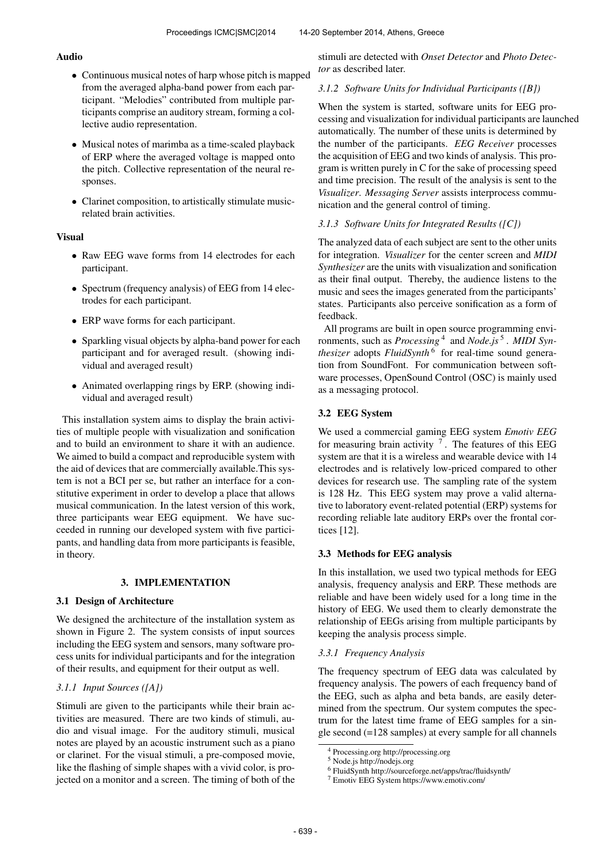## Audio

- Continuous musical notes of harp whose pitch is mapped from the averaged alpha-band power from each participant. "Melodies" contributed from multiple participants comprise an auditory stream, forming a collective audio representation.
- Musical notes of marimba as a time-scaled playback of ERP where the averaged voltage is mapped onto the pitch. Collective representation of the neural responses.
- Clarinet composition, to artistically stimulate musicrelated brain activities.

# Visual

- Raw EEG wave forms from 14 electrodes for each participant.
- Spectrum (frequency analysis) of EEG from 14 electrodes for each participant.
- ERP wave forms for each participant.
- Sparkling visual objects by alpha-band power for each participant and for averaged result. (showing individual and averaged result)
- Animated overlapping rings by ERP. (showing individual and averaged result)

This installation system aims to display the brain activities of multiple people with visualization and sonification and to build an environment to share it with an audience. We aimed to build a compact and reproducible system with the aid of devices that are commercially available.This system is not a BCI per se, but rather an interface for a constitutive experiment in order to develop a place that allows musical communication. In the latest version of this work, three participants wear EEG equipment. We have succeeded in running our developed system with five participants, and handling data from more participants is feasible, in theory.

# 3. IMPLEMENTATION

## 3.1 Design of Architecture

We designed the architecture of the installation system as shown in Figure 2. The system consists of input sources including the EEG system and sensors, many software process units for individual participants and for the integration of their results, and equipment for their output as well.

## *3.1.1 Input Sources ([A])*

Stimuli are given to the participants while their brain activities are measured. There are two kinds of stimuli, audio and visual image. For the auditory stimuli, musical notes are played by an acoustic instrument such as a piano or clarinet. For the visual stimuli, a pre-composed movie, like the flashing of simple shapes with a vivid color, is projected on a monitor and a screen. The timing of both of the stimuli are detected with *Onset Detector* and *Photo Detector* as described later.

## *3.1.2 Software Units for Individual Participants ([B])*

When the system is started, software units for EEG processing and visualization for individual participants are launched automatically. The number of these units is determined by the number of the participants. *EEG Receiver* processes the acquisition of EEG and two kinds of analysis. This program is written purely in C for the sake of processing speed and time precision. The result of the analysis is sent to the *Visualizer*. *Messaging Server* assists interprocess communication and the general control of timing.

## *3.1.3 Software Units for Integrated Results ([C])*

The analyzed data of each subject are sent to the other units for integration. *Visualizer* for the center screen and *MIDI Synthesizer* are the units with visualization and sonification as their final output. Thereby, the audience listens to the music and sees the images generated from the participants' states. Participants also perceive sonification as a form of feedback.

All programs are built in open source programming environments, such as *Processing*<sup>4</sup> and *Node.js*<sup>5</sup>. MIDI Syn*thesizer* adopts *FluidSynth*<sup>6</sup> for real-time sound generation from SoundFont. For communication between software processes, OpenSound Control (OSC) is mainly used as a messaging protocol.

## 3.2 EEG System

We used a commercial gaming EEG system *Emotiv EEG* for measuring brain activity  $7$ . The features of this EEG system are that it is a wireless and wearable device with 14 electrodes and is relatively low-priced compared to other devices for research use. The sampling rate of the system is 128 Hz. This EEG system may prove a valid alternative to laboratory event-related potential (ERP) systems for recording reliable late auditory ERPs over the frontal cortices [12].

#### 3.3 Methods for EEG analysis

In this installation, we used two typical methods for EEG analysis, frequency analysis and ERP. These methods are reliable and have been widely used for a long time in the history of EEG. We used them to clearly demonstrate the relationship of EEGs arising from multiple participants by keeping the analysis process simple.

#### *3.3.1 Frequency Analysis*

The frequency spectrum of EEG data was calculated by frequency analysis. The powers of each frequency band of the EEG, such as alpha and beta bands, are easily determined from the spectrum. Our system computes the spectrum for the latest time frame of EEG samples for a single second (=128 samples) at every sample for all channels

<sup>4</sup> Processing.org<http://processing.org>

<sup>5</sup> Node.js<http://nodejs.org>

<sup>6</sup> FluidSynth<http://sourceforge.net/apps/trac/fluidsynth/>

<sup>7</sup> Emotiv EEG System<https://www.emotiv.com/>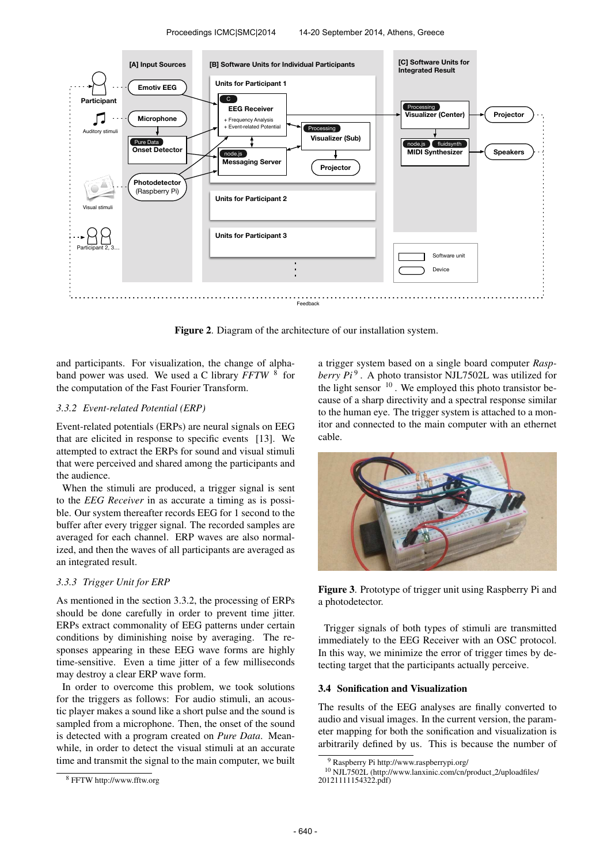

Figure 2. Diagram of the architecture of our installation system.

and participants. For visualization, the change of alphaband power was used. We used a C library *FFTW* <sup>8</sup> for the computation of the Fast Fourier Transform.

## *3.3.2 Event-related Potential (ERP)*

Event-related potentials (ERPs) are neural signals on EEG that are elicited in response to specific events [13]. We attempted to extract the ERPs for sound and visual stimuli that were perceived and shared among the participants and the audience.

When the stimuli are produced, a trigger signal is sent to the *EEG Receiver* in as accurate a timing as is possible. Our system thereafter records EEG for 1 second to the buffer after every trigger signal. The recorded samples are averaged for each channel. ERP waves are also normalized, and then the waves of all participants are averaged as an integrated result.

## *3.3.3 Trigger Unit for ERP*

As mentioned in the section 3.3.2, the processing of ERPs should be done carefully in order to prevent time jitter. ERPs extract commonality of EEG patterns under certain conditions by diminishing noise by averaging. The responses appearing in these EEG wave forms are highly time-sensitive. Even a time jitter of a few milliseconds may destroy a clear ERP wave form.

In order to overcome this problem, we took solutions for the triggers as follows: For audio stimuli, an acoustic player makes a sound like a short pulse and the sound is sampled from a microphone. Then, the onset of the sound is detected with a program created on *Pure Data*. Meanwhile, in order to detect the visual stimuli at an accurate time and transmit the signal to the main computer, we built a trigger system based on a single board computer *Rasp*berry  $Pi^9$ . A photo transistor NJL7502L was utilized for the light sensor  $10$ . We employed this photo transistor because of a sharp directivity and a spectral response similar to the human eye. The trigger system is attached to a monitor and connected to the main computer with an ethernet cable.



Figure 3. Prototype of trigger unit using Raspberry Pi and a photodetector.

Trigger signals of both types of stimuli are transmitted immediately to the EEG Receiver with an OSC protocol. In this way, we minimize the error of trigger times by detecting target that the participants actually perceive.

## 3.4 Sonification and Visualization

The results of the EEG analyses are finally converted to audio and visual images. In the current version, the parameter mapping for both the sonification and visualization is arbitrarily defined by us. This is because the number of

<sup>8</sup> FFTW<http://www.fftw.org>

<sup>9</sup> Raspberry Pi<http://www.raspberrypi.org/>

<sup>10</sup> NJL7502L [\(http://www.lanxinic.com/cn/product](http://www.lanxinic.com/cn/product_2/uploadfiles/20121111154322.pdf) 2/uploadfiles/ [20121111154322.pdf\)](http://www.lanxinic.com/cn/product_2/uploadfiles/20121111154322.pdf)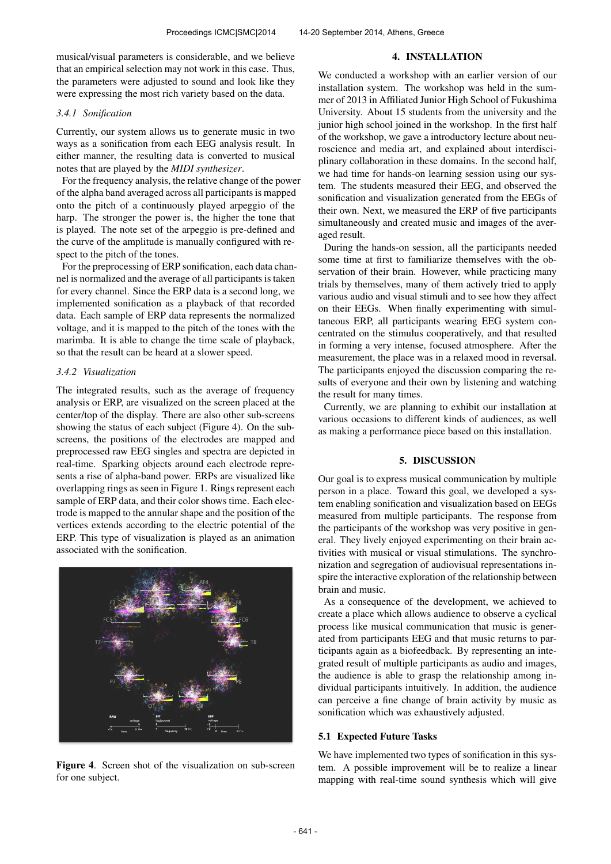musical/visual parameters is considerable, and we believe that an empirical selection may not work in this case. Thus, the parameters were adjusted to sound and look like they were expressing the most rich variety based on the data.

## *3.4.1 Sonification*

Currently, our system allows us to generate music in two ways as a sonification from each EEG analysis result. In either manner, the resulting data is converted to musical notes that are played by the *MIDI synthesizer*.

For the frequency analysis, the relative change of the power of the alpha band averaged across all participants is mapped onto the pitch of a continuously played arpeggio of the harp. The stronger the power is, the higher the tone that is played. The note set of the arpeggio is pre-defined and the curve of the amplitude is manually configured with respect to the pitch of the tones.

For the preprocessing of ERP sonification, each data channel is normalized and the average of all participants is taken for every channel. Since the ERP data is a second long, we implemented sonification as a playback of that recorded data. Each sample of ERP data represents the normalized voltage, and it is mapped to the pitch of the tones with the marimba. It is able to change the time scale of playback, so that the result can be heard at a slower speed.

## *3.4.2 Visualization*

The integrated results, such as the average of frequency analysis or ERP, are visualized on the screen placed at the center/top of the display. There are also other sub-screens showing the status of each subject (Figure 4). On the subscreens, the positions of the electrodes are mapped and preprocessed raw EEG singles and spectra are depicted in real-time. Sparking objects around each electrode represents a rise of alpha-band power. ERPs are visualized like overlapping rings as seen in Figure 1. Rings represent each sample of ERP data, and their color shows time. Each electrode is mapped to the annular shape and the position of the vertices extends according to the electric potential of the ERP. This type of visualization is played as an animation associated with the sonification.



Figure 4. Screen shot of the visualization on sub-screen for one subject.

#### 4. INSTALLATION

We conducted a workshop with an earlier version of our installation system. The workshop was held in the summer of 2013 in Affiliated Junior High School of Fukushima University. About 15 students from the university and the junior high school joined in the workshop. In the first half of the workshop, we gave a introductory lecture about neuroscience and media art, and explained about interdisciplinary collaboration in these domains. In the second half, we had time for hands-on learning session using our system. The students measured their EEG, and observed the sonification and visualization generated from the EEGs of their own. Next, we measured the ERP of five participants simultaneously and created music and images of the averaged result.

During the hands-on session, all the participants needed some time at first to familiarize themselves with the observation of their brain. However, while practicing many trials by themselves, many of them actively tried to apply various audio and visual stimuli and to see how they affect on their EEGs. When finally experimenting with simultaneous ERP, all participants wearing EEG system concentrated on the stimulus cooperatively, and that resulted in forming a very intense, focused atmosphere. After the measurement, the place was in a relaxed mood in reversal. The participants enjoyed the discussion comparing the results of everyone and their own by listening and watching the result for many times.

Currently, we are planning to exhibit our installation at various occasions to different kinds of audiences, as well as making a performance piece based on this installation.

#### 5. DISCUSSION

Our goal is to express musical communication by multiple person in a place. Toward this goal, we developed a system enabling sonification and visualization based on EEGs measured from multiple participants. The response from the participants of the workshop was very positive in general. They lively enjoyed experimenting on their brain activities with musical or visual stimulations. The synchronization and segregation of audiovisual representations inspire the interactive exploration of the relationship between brain and music.

As a consequence of the development, we achieved to create a place which allows audience to observe a cyclical process like musical communication that music is generated from participants EEG and that music returns to participants again as a biofeedback. By representing an integrated result of multiple participants as audio and images, the audience is able to grasp the relationship among individual participants intuitively. In addition, the audience can perceive a fine change of brain activity by music as sonification which was exhaustively adjusted.

#### 5.1 Expected Future Tasks

We have implemented two types of sonification in this system. A possible improvement will be to realize a linear mapping with real-time sound synthesis which will give